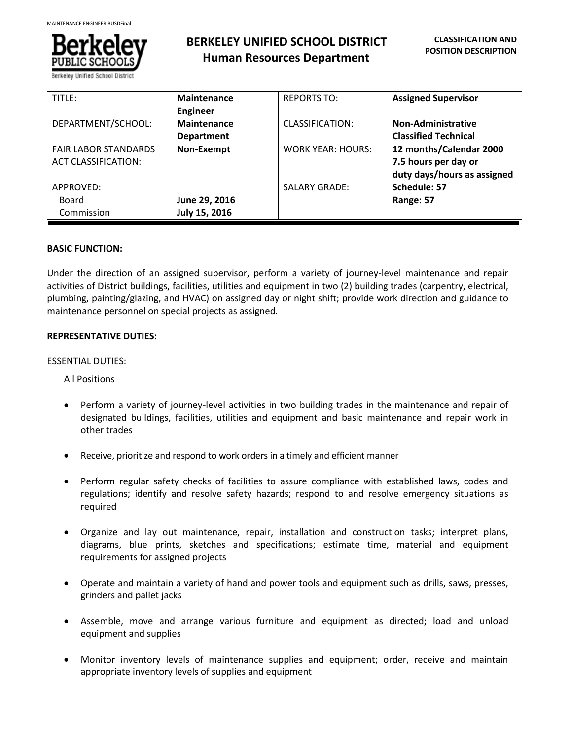

Rerkeley Unified School Dis

| TITLE:                                                    | <b>Maintenance</b><br><b>Engineer</b>   | <b>REPORTS TO:</b>       | <b>Assigned Supervisor</b>                                                     |
|-----------------------------------------------------------|-----------------------------------------|--------------------------|--------------------------------------------------------------------------------|
| DEPARTMENT/SCHOOL:                                        | <b>Maintenance</b><br><b>Department</b> | CLASSIFICATION:          | <b>Non-Administrative</b><br><b>Classified Technical</b>                       |
| <b>FAIR LABOR STANDARDS</b><br><b>ACT CLASSIFICATION:</b> | <b>Non-Exempt</b>                       | <b>WORK YEAR: HOURS:</b> | 12 months/Calendar 2000<br>7.5 hours per day or<br>duty days/hours as assigned |
| APPROVED:<br>Board                                        | June 29, 2016                           | <b>SALARY GRADE:</b>     | Schedule: 57<br>Range: 57                                                      |
| Commission                                                | July 15, 2016                           |                          |                                                                                |

## **BASIC FUNCTION:**

Under the direction of an assigned supervisor, perform a variety of journey-level maintenance and repair activities of District buildings, facilities, utilities and equipment in two (2) building trades (carpentry, electrical, plumbing, painting/glazing, and HVAC) on assigned day or night shift; provide work direction and guidance to maintenance personnel on special projects as assigned.

## **REPRESENTATIVE DUTIES:**

## ESSENTIAL DUTIES:

#### All Positions

- Perform a variety of journey-level activities in two building trades in the maintenance and repair of designated buildings, facilities, utilities and equipment and basic maintenance and repair work in other trades
- Receive, prioritize and respond to work orders in a timely and efficient manner
- Perform regular safety checks of facilities to assure compliance with established laws, codes and regulations; identify and resolve safety hazards; respond to and resolve emergency situations as required
- Organize and lay out maintenance, repair, installation and construction tasks; interpret plans, diagrams, blue prints, sketches and specifications; estimate time, material and equipment requirements for assigned projects
- Operate and maintain a variety of hand and power tools and equipment such as drills, saws, presses, grinders and pallet jacks
- Assemble, move and arrange various furniture and equipment as directed; load and unload equipment and supplies
- Monitor inventory levels of maintenance supplies and equipment; order, receive and maintain appropriate inventory levels of supplies and equipment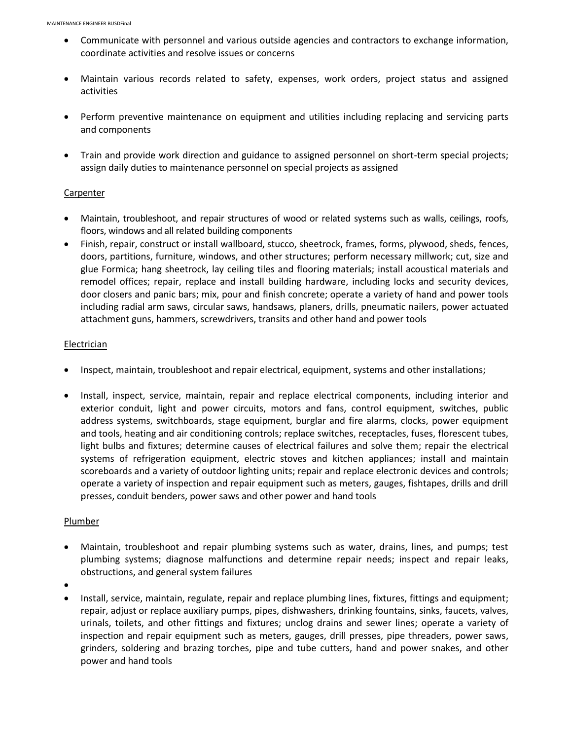- Communicate with personnel and various outside agencies and contractors to exchange information, coordinate activities and resolve issues or concerns
- Maintain various records related to safety, expenses, work orders, project status and assigned activities
- Perform preventive maintenance on equipment and utilities including replacing and servicing parts and components
- Train and provide work direction and guidance to assigned personnel on short-term special projects; assign daily duties to maintenance personnel on special projects as assigned

#### **Carpenter**

- Maintain, troubleshoot, and repair structures of wood or related systems such as walls, ceilings, roofs, floors, windows and all related building components
- Finish, repair, construct or install wallboard, stucco, sheetrock, frames, forms, plywood, sheds, fences, doors, partitions, furniture, windows, and other structures; perform necessary millwork; cut, size and glue Formica; hang sheetrock, lay ceiling tiles and flooring materials; install acoustical materials and remodel offices; repair, replace and install building hardware, including locks and security devices, door closers and panic bars; mix, pour and finish concrete; operate a variety of hand and power tools including radial arm saws, circular saws, handsaws, planers, drills, pneumatic nailers, power actuated attachment guns, hammers, screwdrivers, transits and other hand and power tools

## Electrician

- Inspect, maintain, troubleshoot and repair electrical, equipment, systems and other installations;
- Install, inspect, service, maintain, repair and replace electrical components, including interior and exterior conduit, light and power circuits, motors and fans, control equipment, switches, public address systems, switchboards, stage equipment, burglar and fire alarms, clocks, power equipment and tools, heating and air conditioning controls; replace switches, receptacles, fuses, florescent tubes, light bulbs and fixtures; determine causes of electrical failures and solve them; repair the electrical systems of refrigeration equipment, electric stoves and kitchen appliances; install and maintain scoreboards and a variety of outdoor lighting units; repair and replace electronic devices and controls; operate a variety of inspection and repair equipment such as meters, gauges, fishtapes, drills and drill presses, conduit benders, power saws and other power and hand tools

#### Plumber

- Maintain, troubleshoot and repair plumbing systems such as water, drains, lines, and pumps; test plumbing systems; diagnose malfunctions and determine repair needs; inspect and repair leaks, obstructions, and general system failures
- $\bullet$
- Install, service, maintain, regulate, repair and replace plumbing lines, fixtures, fittings and equipment; repair, adjust or replace auxiliary pumps, pipes, dishwashers, drinking fountains, sinks, faucets, valves, urinals, toilets, and other fittings and fixtures; unclog drains and sewer lines; operate a variety of inspection and repair equipment such as meters, gauges, drill presses, pipe threaders, power saws, grinders, soldering and brazing torches, pipe and tube cutters, hand and power snakes, and other power and hand tools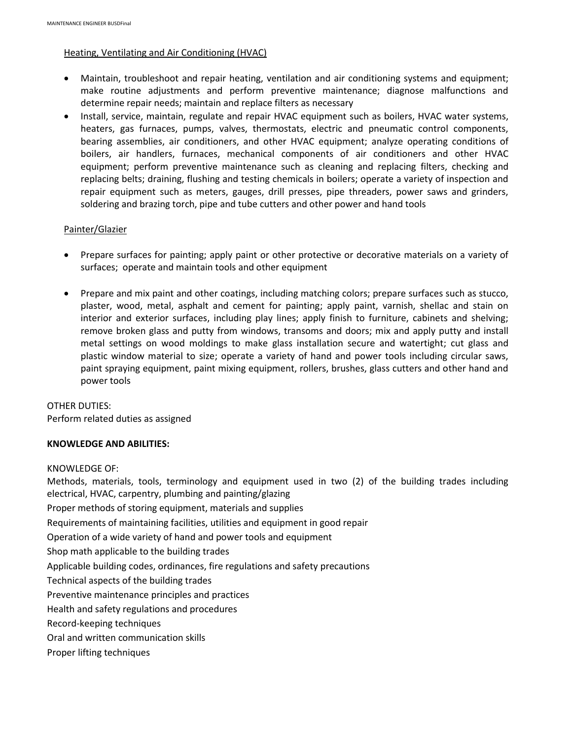## Heating, Ventilating and Air Conditioning (HVAC)

- Maintain, troubleshoot and repair heating, ventilation and air conditioning systems and equipment; make routine adjustments and perform preventive maintenance; diagnose malfunctions and determine repair needs; maintain and replace filters as necessary
- Install, service, maintain, regulate and repair HVAC equipment such as boilers, HVAC water systems, heaters, gas furnaces, pumps, valves, thermostats, electric and pneumatic control components, bearing assemblies, air conditioners, and other HVAC equipment; analyze operating conditions of boilers, air handlers, furnaces, mechanical components of air conditioners and other HVAC equipment; perform preventive maintenance such as cleaning and replacing filters, checking and replacing belts; draining, flushing and testing chemicals in boilers; operate a variety of inspection and repair equipment such as meters, gauges, drill presses, pipe threaders, power saws and grinders, soldering and brazing torch, pipe and tube cutters and other power and hand tools

## Painter/Glazier

- Prepare surfaces for painting; apply paint or other protective or decorative materials on a variety of surfaces; operate and maintain tools and other equipment
- Prepare and mix paint and other coatings, including matching colors; prepare surfaces such as stucco, plaster, wood, metal, asphalt and cement for painting; apply paint, varnish, shellac and stain on interior and exterior surfaces, including play lines; apply finish to furniture, cabinets and shelving; remove broken glass and putty from windows, transoms and doors; mix and apply putty and install metal settings on wood moldings to make glass installation secure and watertight; cut glass and plastic window material to size; operate a variety of hand and power tools including circular saws, paint spraying equipment, paint mixing equipment, rollers, brushes, glass cutters and other hand and power tools

# OTHER DUTIES: Perform related duties as assigned

# **KNOWLEDGE AND ABILITIES:**

#### KNOWLEDGE OF:

Methods, materials, tools, terminology and equipment used in two (2) of the building trades including electrical, HVAC, carpentry, plumbing and painting/glazing

Proper methods of storing equipment, materials and supplies

Requirements of maintaining facilities, utilities and equipment in good repair

Operation of a wide variety of hand and power tools and equipment

Shop math applicable to the building trades

Applicable building codes, ordinances, fire regulations and safety precautions

Technical aspects of the building trades

Preventive maintenance principles and practices

Health and safety regulations and procedures

Record-keeping techniques

- Oral and written communication skills
- Proper lifting techniques